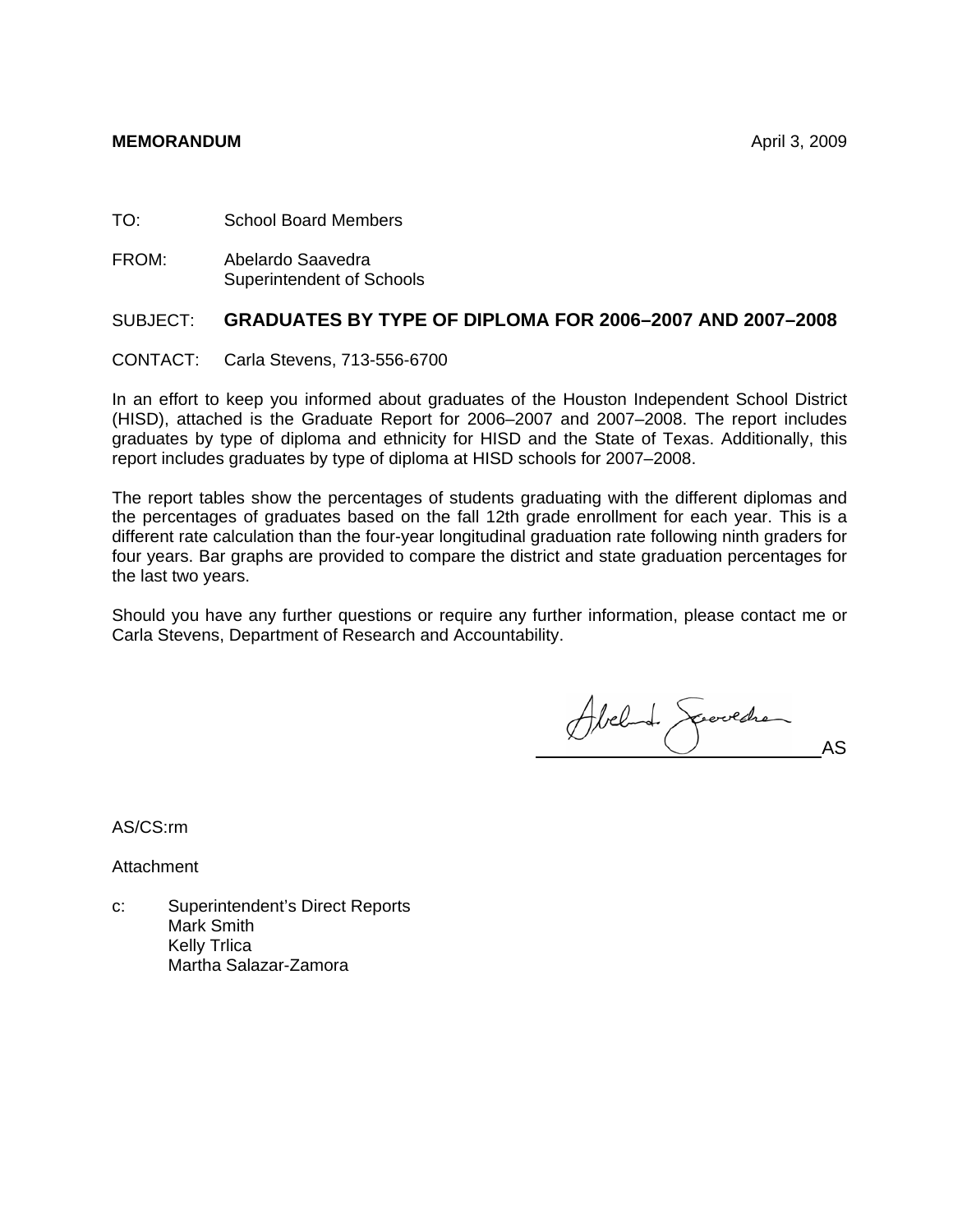TO: School Board Members

FROM: Abelardo Saavedra Superintendent of Schools

## SUBJECT: **GRADUATES BY TYPE OF DIPLOMA FOR 2006–2007 AND 2007–2008**

CONTACT: Carla Stevens, 713-556-6700

In an effort to keep you informed about graduates of the Houston Independent School District (HISD), attached is the Graduate Report for 2006–2007 and 2007–2008. The report includes graduates by type of diploma and ethnicity for HISD and the State of Texas. Additionally, this report includes graduates by type of diploma at HISD schools for 2007–2008.

The report tables show the percentages of students graduating with the different diplomas and the percentages of graduates based on the fall 12th grade enrollment for each year. This is a different rate calculation than the four-year longitudinal graduation rate following ninth graders for four years. Bar graphs are provided to compare the district and state graduation percentages for the last two years.

Should you have any further questions or require any further information, please contact me or Carla Stevens, Department of Research and Accountability.

Abel 1 Secretar

AS/CS:rm

**Attachment** 

c: Superintendent's Direct Reports Mark Smith Kelly Trlica Martha Salazar-Zamora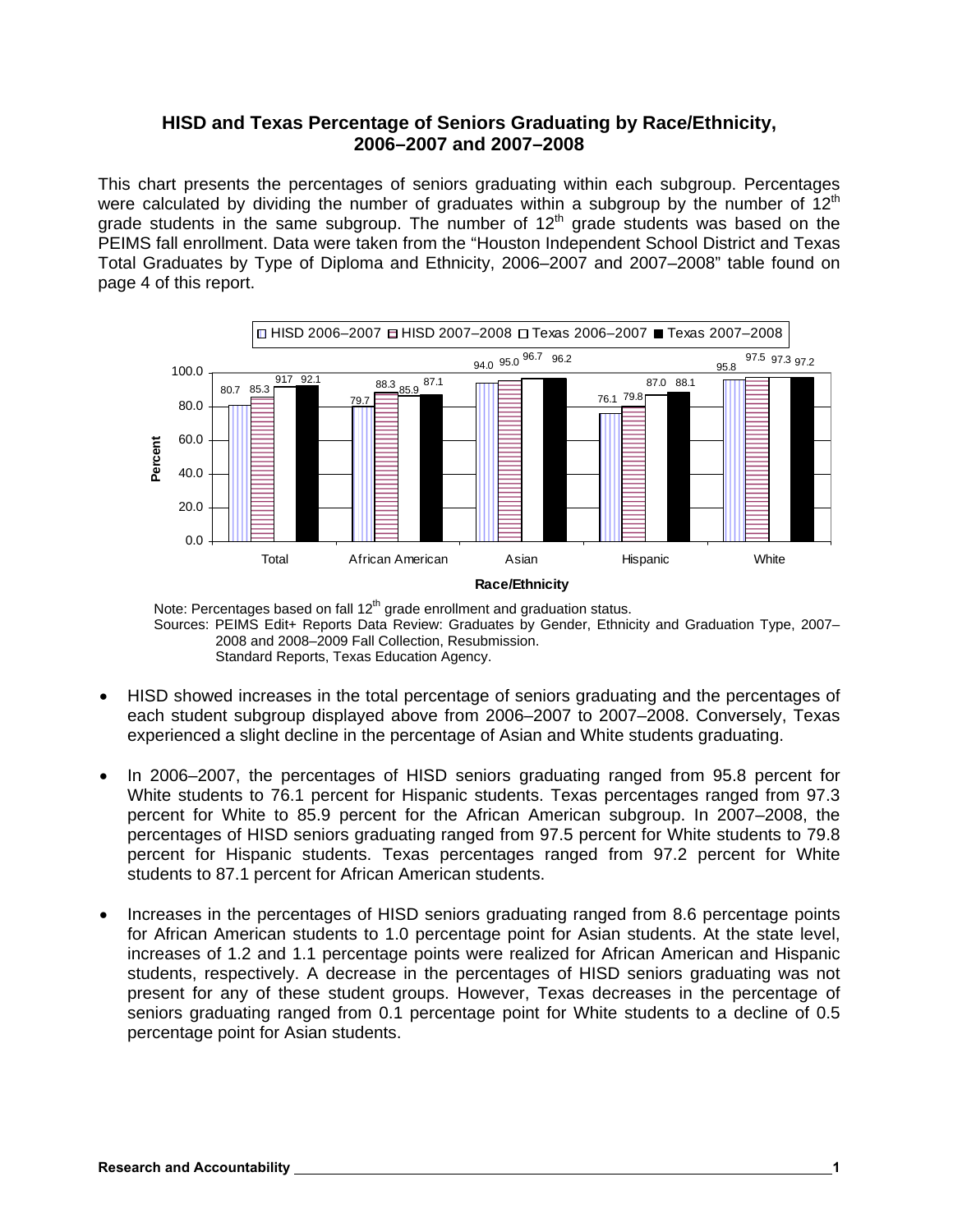### **HISD and Texas Percentage of Seniors Graduating by Race/Ethnicity, 2006–2007 and 2007–2008**

This chart presents the percentages of seniors graduating within each subgroup. Percentages were calculated by dividing the number of graduates within a subgroup by the number of  $12<sup>th</sup>$ grade students in the same subgroup. The number of  $12<sup>th</sup>$  grade students was based on the PEIMS fall enrollment. Data were taken from the "Houston Independent School District and Texas Total Graduates by Type of Diploma and Ethnicity, 2006–2007 and 2007–2008" table found on page 4 of this report.



Note: Percentages based on fall 12<sup>th</sup> grade enrollment and graduation status. Sources: PEIMS Edit+ Reports Data Review: Graduates by Gender, Ethnicity and Graduation Type, 2007– 2008 and 2008–2009 Fall Collection, Resubmission. Standard Reports, Texas Education Agency.

- HISD showed increases in the total percentage of seniors graduating and the percentages of each student subgroup displayed above from 2006–2007 to 2007–2008. Conversely, Texas experienced a slight decline in the percentage of Asian and White students graduating.
- In 2006–2007, the percentages of HISD seniors graduating ranged from 95.8 percent for White students to 76.1 percent for Hispanic students. Texas percentages ranged from 97.3 percent for White to 85.9 percent for the African American subgroup. In 2007–2008, the percentages of HISD seniors graduating ranged from 97.5 percent for White students to 79.8 percent for Hispanic students. Texas percentages ranged from 97.2 percent for White students to 87.1 percent for African American students.
- Increases in the percentages of HISD seniors graduating ranged from 8.6 percentage points for African American students to 1.0 percentage point for Asian students. At the state level, increases of 1.2 and 1.1 percentage points were realized for African American and Hispanic students, respectively. A decrease in the percentages of HISD seniors graduating was not present for any of these student groups. However, Texas decreases in the percentage of seniors graduating ranged from 0.1 percentage point for White students to a decline of 0.5 percentage point for Asian students.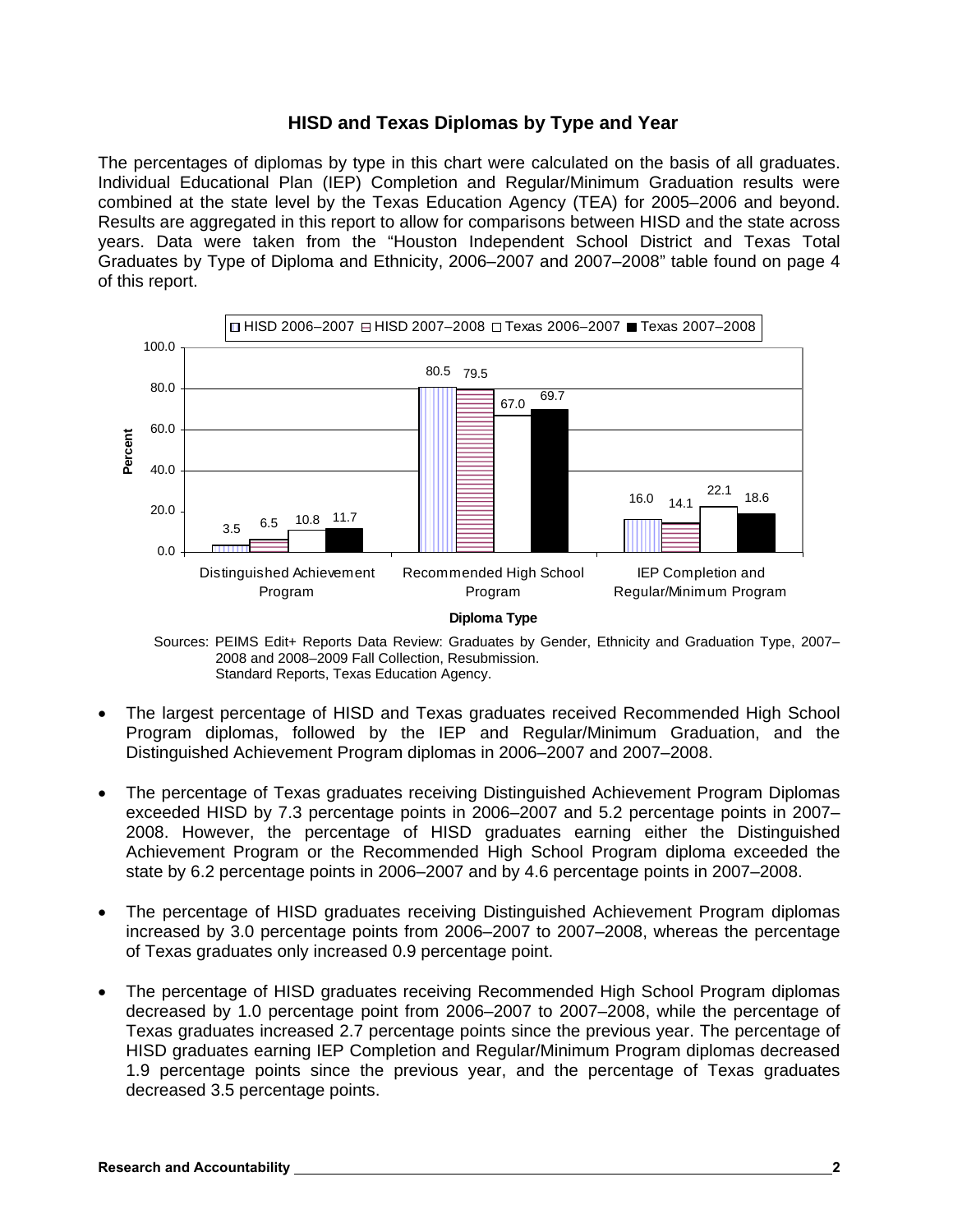## **HISD and Texas Diplomas by Type and Year**

The percentages of diplomas by type in this chart were calculated on the basis of all graduates. Individual Educational Plan (IEP) Completion and Regular/Minimum Graduation results were combined at the state level by the Texas Education Agency (TEA) for 2005–2006 and beyond. Results are aggregated in this report to allow for comparisons between HISD and the state across years. Data were taken from the "Houston Independent School District and Texas Total Graduates by Type of Diploma and Ethnicity, 2006–2007 and 2007–2008" table found on page 4 of this report.



Sources: PEIMS Edit+ Reports Data Review: Graduates by Gender, Ethnicity and Graduation Type, 2007– 2008 and 2008–2009 Fall Collection, Resubmission. Standard Reports, Texas Education Agency.

- The largest percentage of HISD and Texas graduates received Recommended High School Program diplomas, followed by the IEP and Regular/Minimum Graduation, and the Distinguished Achievement Program diplomas in 2006–2007 and 2007–2008.
- The percentage of Texas graduates receiving Distinguished Achievement Program Diplomas exceeded HISD by 7.3 percentage points in 2006–2007 and 5.2 percentage points in 2007– 2008. However, the percentage of HISD graduates earning either the Distinguished Achievement Program or the Recommended High School Program diploma exceeded the state by 6.2 percentage points in 2006–2007 and by 4.6 percentage points in 2007–2008.
- The percentage of HISD graduates receiving Distinguished Achievement Program diplomas increased by 3.0 percentage points from 2006–2007 to 2007–2008, whereas the percentage of Texas graduates only increased 0.9 percentage point.
- The percentage of HISD graduates receiving Recommended High School Program diplomas decreased by 1.0 percentage point from 2006–2007 to 2007–2008, while the percentage of Texas graduates increased 2.7 percentage points since the previous year. The percentage of HISD graduates earning IEP Completion and Regular/Minimum Program diplomas decreased 1.9 percentage points since the previous year, and the percentage of Texas graduates decreased 3.5 percentage points.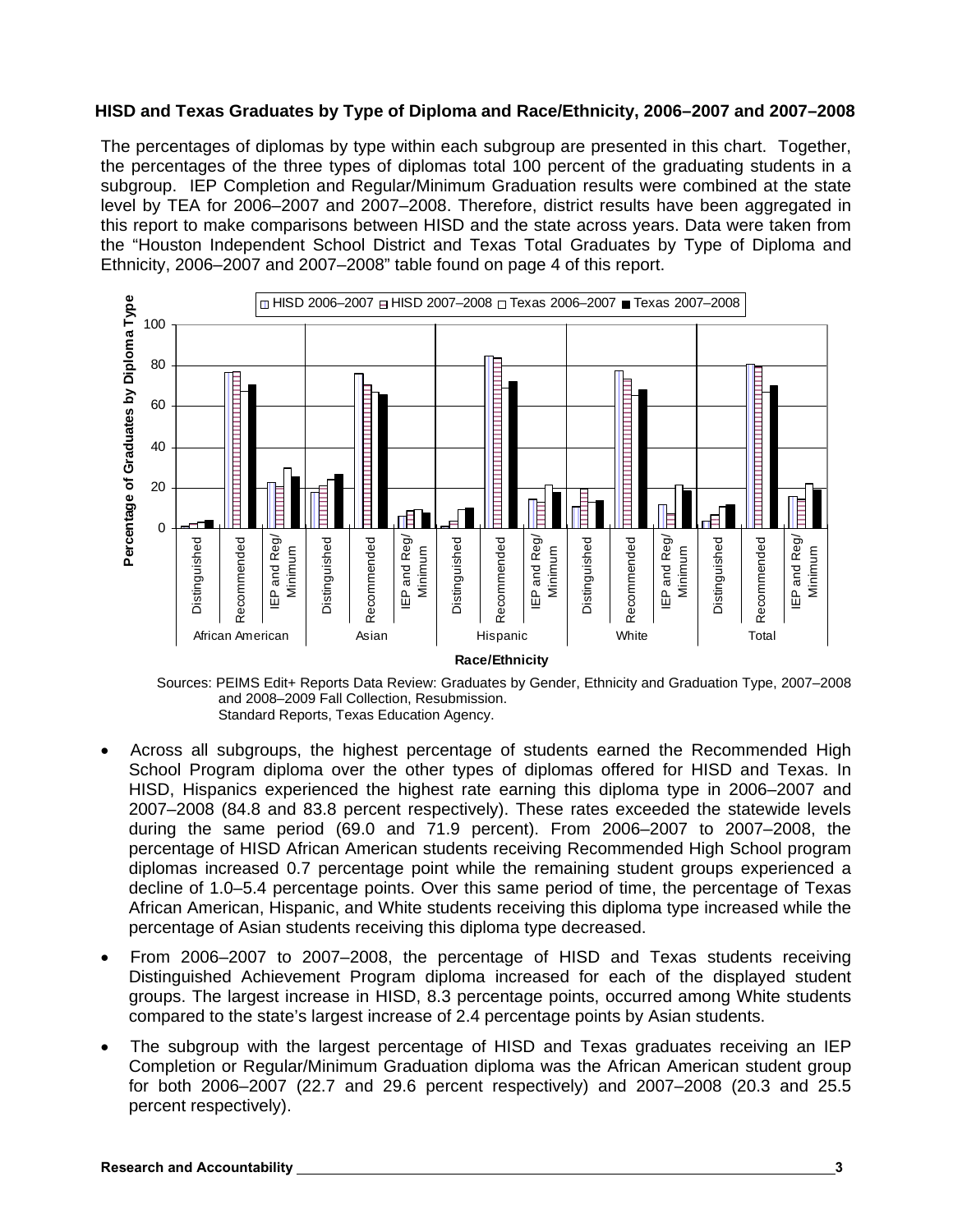#### **HISD and Texas Graduates by Type of Diploma and Race/Ethnicity, 2006–2007 and 2007–2008**

The percentages of diplomas by type within each subgroup are presented in this chart. Together, the percentages of the three types of diplomas total 100 percent of the graduating students in a subgroup. IEP Completion and Regular/Minimum Graduation results were combined at the state level by TEA for 2006–2007 and 2007–2008. Therefore, district results have been aggregated in this report to make comparisons between HISD and the state across years. Data were taken from the "Houston Independent School District and Texas Total Graduates by Type of Diploma and Ethnicity, 2006–2007 and 2007–2008" table found on page 4 of this report.



Sources: PEIMS Edit+ Reports Data Review: Graduates by Gender, Ethnicity and Graduation Type, 2007–2008 and 2008–2009 Fall Collection, Resubmission. Standard Reports, Texas Education Agency.

- Across all subgroups, the highest percentage of students earned the Recommended High School Program diploma over the other types of diplomas offered for HISD and Texas. In HISD, Hispanics experienced the highest rate earning this diploma type in 2006–2007 and 2007–2008 (84.8 and 83.8 percent respectively). These rates exceeded the statewide levels during the same period (69.0 and 71.9 percent). From 2006–2007 to 2007–2008, the percentage of HISD African American students receiving Recommended High School program diplomas increased 0.7 percentage point while the remaining student groups experienced a decline of 1.0–5.4 percentage points. Over this same period of time, the percentage of Texas African American, Hispanic, and White students receiving this diploma type increased while the percentage of Asian students receiving this diploma type decreased.
- From 2006–2007 to 2007–2008, the percentage of HISD and Texas students receiving Distinguished Achievement Program diploma increased for each of the displayed student groups. The largest increase in HISD, 8.3 percentage points, occurred among White students compared to the state's largest increase of 2.4 percentage points by Asian students.
- The subgroup with the largest percentage of HISD and Texas graduates receiving an IEP Completion or Regular/Minimum Graduation diploma was the African American student group for both 2006–2007 (22.7 and 29.6 percent respectively) and 2007–2008 (20.3 and 25.5 percent respectively).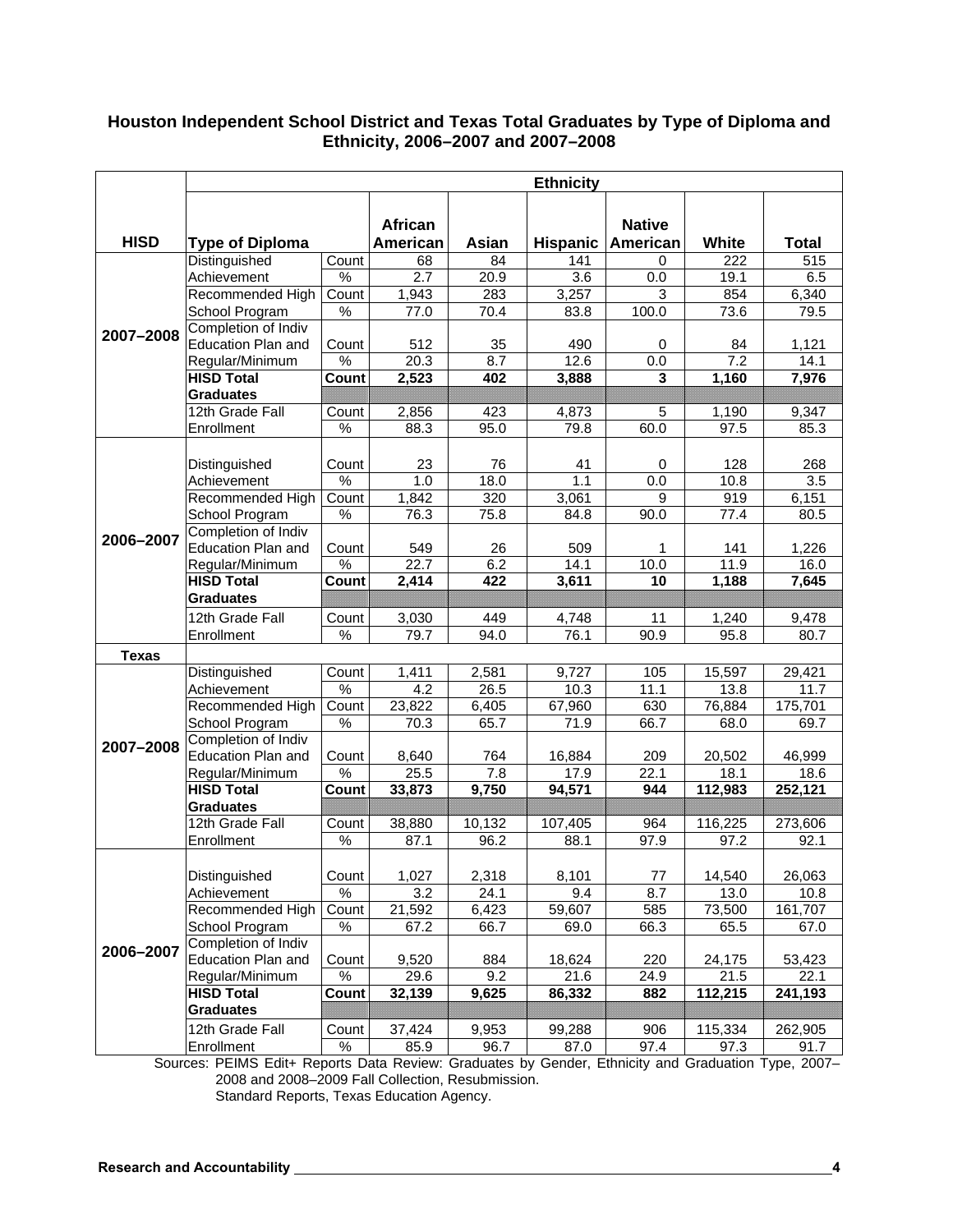## **Houston Independent School District and Texas Total Graduates by Type of Diploma and Ethnicity, 2006–2007 and 2007–2008**

|              | <b>Ethnicity</b>          |               |                |                   |         |                     |         |              |  |
|--------------|---------------------------|---------------|----------------|-------------------|---------|---------------------|---------|--------------|--|
| <b>HISD</b>  |                           |               | <b>African</b> |                   |         | <b>Native</b>       |         |              |  |
|              | <b>Type of Diploma</b>    |               | American       | Asian             |         | Hispanic   American | White   | <b>Total</b> |  |
| 2007-2008    | Distinguished             | Count         | 68             | 84                | 141     | 0                   | 222     | 515          |  |
|              | Achievement               | %             | 2.7            | 20.9              | 3.6     | 0.0                 | 19.1    | 6.5          |  |
|              | Recommended High          | Count         | 1,943          | 283               | 3,257   | 3                   | 854     | 6,340        |  |
|              | School Program            | %             | 77.0           | $\overline{7}0.4$ | 83.8    | 100.0               | 73.6    | 79.5         |  |
|              | Completion of Indiv       |               |                |                   |         |                     |         |              |  |
|              | Education Plan and        | Count         | 512            | 35                | 490     | 0                   | 84      | 1,121        |  |
|              | Regular/Minimum           | $\%$          | 20.3           | 8.7               | 12.6    | 0.0                 | 7.2     | 14.1         |  |
|              | <b>HISD Total</b>         | Count         | 2,523          | 402               | 3,888   | 3                   | 1,160   | 7,976        |  |
|              | <b>Graduates</b>          |               |                |                   |         |                     |         |              |  |
|              | 12th Grade Fall           | Count         | 2,856          | 423               | 4,873   | 5                   | 1,190   | 9,347        |  |
|              | Enrollment                | %             | 88.3           | 95.0              | 79.8    | 60.0                | 97.5    | 85.3         |  |
|              |                           |               |                |                   |         |                     |         |              |  |
|              | Distinguished             | Count         | 23             | 76                | 41      | 0                   | 128     | 268          |  |
|              | Achievement               | $\%$          | 1.0            | 18.0              | 1.1     | 0.0                 | 10.8    | 3.5          |  |
|              | Recommended High          | Count         | 1,842          | 320               | 3,061   | 9                   | 919     | 6,151        |  |
|              | School Program            | %             | 76.3           | 75.8              | 84.8    | 90.0                | 77.4    | 80.5         |  |
| 2006-2007    | Completion of Indiv       |               |                |                   |         |                     |         |              |  |
|              | <b>Education Plan and</b> | Count         | 549            | 26                | 509     | 1                   | 141     | 1,226        |  |
|              | Regular/Minimum           | %             | 22.7           | 6.2               | 14.1    | 10.0                | 11.9    | 16.0         |  |
|              | <b>HISD Total</b>         | Count         | 2,414          | 422               | 3,611   | 10                  | 1,188   | 7,645        |  |
|              | <b>Graduates</b>          |               |                |                   |         |                     |         |              |  |
|              | 12th Grade Fall           | Count         | 3,030          | 449               | 4,748   | 11                  | 1,240   | 9,478        |  |
|              | Enrollment                | %             | 79.7           | 94.0              | 76.1    | 90.9                | 95.8    | 80.7         |  |
| <b>Texas</b> |                           |               |                |                   |         |                     |         |              |  |
| 2007-2008    | Distinguished             | Count         | 1,411          | 2,581             | 9,727   | 105                 | 15,597  | 29,421       |  |
|              | Achievement               | %             | 4.2            | 26.5              | 10.3    | 11.1                | 13.8    | 11.7         |  |
|              | Recommended High          | Count         | 23,822         | 6,405             | 67,960  | 630                 | 76,884  | 175,701      |  |
|              | School Program            | %             | 70.3           | 65.7              | 71.9    | 66.7                | 68.0    | 69.7         |  |
|              | Completion of Indiv       |               |                |                   |         |                     |         |              |  |
|              | Education Plan and        | Count         | 8,640          | 764               | 16,884  | 209                 | 20,502  | 46,999       |  |
|              | Regular/Minimum           | %             | 25.5           | 7.8               | 17.9    | 22.1                | 18.1    | 18.6         |  |
|              | <b>HISD Total</b>         | Count         | 33,873         | 9,750             | 94,571  | 944                 | 112,983 | 252,121      |  |
|              | <b>Graduates</b>          |               |                |                   |         |                     |         |              |  |
|              | 12th Grade Fall           | Count         | 38,880         | 10,132            | 107,405 | 964                 | 116,225 | 273,606      |  |
|              | Enrollment                | $\%$          | 87.1           | 96.2              | 88.1    | 97.9                | 97.2    | 92.1         |  |
| 2006-2007    |                           |               |                |                   |         |                     |         |              |  |
|              | Distinguished             | Count         | 1,027          | 2,318             | 8,101   | 77                  | 14,540  | 26,063       |  |
|              | Achievement               | $\%$          | 3.2            | 24.1              | 9.4     | 8.7                 | 13.0    | 10.8         |  |
|              | Recommended High          | Count         | 21,592         | 6,423             | 59,607  | 585                 | 73,500  | 161,707      |  |
|              | School Program            | $\%$          | 67.2           | 66.7              | 69.0    | 66.3                | 65.5    | 67.0         |  |
|              | Completion of Indiv       |               |                |                   |         |                     |         |              |  |
|              | Education Plan and        | Count         | 9,520          | 884               | 18,624  | 220                 | 24,175  | 53,423       |  |
|              | Regular/Minimum           | $\frac{8}{6}$ | 29.6           | 9.2               | 21.6    | 24.9                | 21.5    | 22.1         |  |
|              | <b>HISD Total</b>         | Count         | 32,139         | 9,625             | 86,332  | 882                 | 112,215 | 241,193      |  |
|              | <b>Graduates</b>          |               |                |                   |         |                     |         |              |  |
|              | 12th Grade Fall           | Count         | 37,424         | 9,953             | 99,288  | 906                 | 115,334 | 262,905      |  |
|              | Enrollment                | %             | 85.9           | 96.7              | 87.0    | 97.4                | 97.3    | 91.7         |  |

Sources: PEIMS Edit+ Reports Data Review: Graduates by Gender, Ethnicity and Graduation Type, 2007– 2008 and 2008–2009 Fall Collection, Resubmission. Standard Reports, Texas Education Agency.